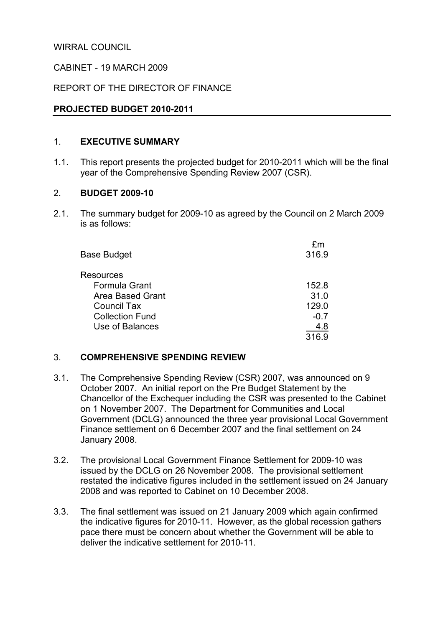WIRRAL COUNCIL

### CABINET - 19 MARCH 2009

### REPORT OF THE DIRECTOR OF FINANCE

### PROJECTED BUDGET 2010-2011

#### 1. EXECUTIVE SUMMARY

1.1. This report presents the projected budget for 2010-2011 which will be the final year of the Comprehensive Spending Review 2007 (CSR).

#### 2. BUDGET 2009-10

2.1. The summary budget for 2009-10 as agreed by the Council on 2 March 2009 is as follows:

|                        | fm     |
|------------------------|--------|
| <b>Base Budget</b>     | 316.9  |
| <b>Resources</b>       |        |
| Formula Grant          | 152.8  |
| Area Based Grant       | 31.0   |
| <b>Council Tax</b>     | 129.0  |
| <b>Collection Fund</b> | $-0.7$ |
| Use of Balances        | 4.8    |
|                        | 316.9  |
|                        |        |

### 3. COMPREHENSIVE SPENDING REVIEW

- 3.1. The Comprehensive Spending Review (CSR) 2007, was announced on 9 October 2007. An initial report on the Pre Budget Statement by the Chancellor of the Exchequer including the CSR was presented to the Cabinet on 1 November 2007. The Department for Communities and Local Government (DCLG) announced the three year provisional Local Government Finance settlement on 6 December 2007 and the final settlement on 24 January 2008.
- 3.2. The provisional Local Government Finance Settlement for 2009-10 was issued by the DCLG on 26 November 2008. The provisional settlement restated the indicative figures included in the settlement issued on 24 January 2008 and was reported to Cabinet on 10 December 2008.
- 3.3. The final settlement was issued on 21 January 2009 which again confirmed the indicative figures for 2010-11. However, as the global recession gathers pace there must be concern about whether the Government will be able to deliver the indicative settlement for 2010-11.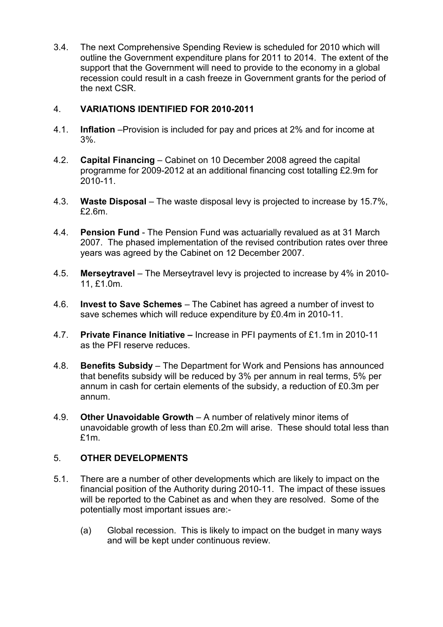3.4. The next Comprehensive Spending Review is scheduled for 2010 which will outline the Government expenditure plans for 2011 to 2014. The extent of the support that the Government will need to provide to the economy in a global recession could result in a cash freeze in Government grants for the period of the next CSR.

# 4. VARIATIONS IDENTIFIED FOR 2010-2011

- 4.1. Inflation –Provision is included for pay and prices at 2% and for income at 3%.
- 4.2. Capital Financing Cabinet on 10 December 2008 agreed the capital programme for 2009-2012 at an additional financing cost totalling £2.9m for 2010-11.
- 4.3. Waste Disposal The waste disposal levy is projected to increase by 15.7%, £2.6m.
- 4.4. Pension Fund The Pension Fund was actuarially revalued as at 31 March 2007. The phased implementation of the revised contribution rates over three years was agreed by the Cabinet on 12 December 2007.
- 4.5. Merseytravel The Merseytravel levy is projected to increase by 4% in 2010- 11, £1.0m.
- 4.6. Invest to Save Schemes The Cabinet has agreed a number of invest to save schemes which will reduce expenditure by £0.4m in 2010-11.
- 4.7. Private Finance Initiative Increase in PFI payments of £1.1m in 2010-11 as the PFI reserve reduces.
- 4.8. Benefits Subsidy The Department for Work and Pensions has announced that benefits subsidy will be reduced by 3% per annum in real terms, 5% per annum in cash for certain elements of the subsidy, a reduction of £0.3m per annum.
- 4.9. Other Unavoidable Growth A number of relatively minor items of unavoidable growth of less than £0.2m will arise. These should total less than £1m.

### 5. OTHER DEVELOPMENTS

- 5.1. There are a number of other developments which are likely to impact on the financial position of the Authority during 2010-11. The impact of these issues will be reported to the Cabinet as and when they are resolved. Some of the potentially most important issues are:-
	- (a) Global recession. This is likely to impact on the budget in many ways and will be kept under continuous review.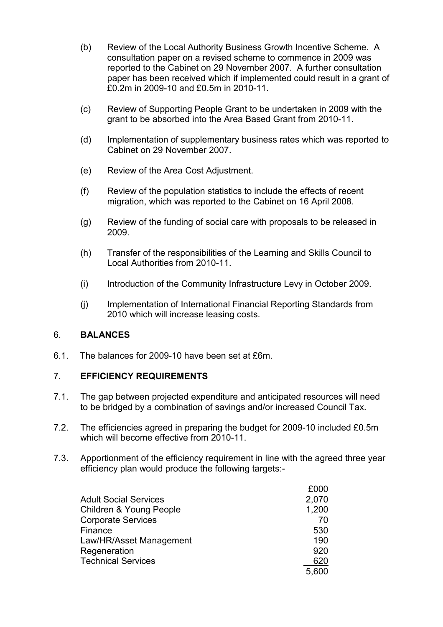- (b) Review of the Local Authority Business Growth Incentive Scheme. A consultation paper on a revised scheme to commence in 2009 was reported to the Cabinet on 29 November 2007. A further consultation paper has been received which if implemented could result in a grant of £0.2m in 2009-10 and £0.5m in 2010-11.
- (c) Review of Supporting People Grant to be undertaken in 2009 with the grant to be absorbed into the Area Based Grant from 2010-11.
- (d) Implementation of supplementary business rates which was reported to Cabinet on 29 November 2007.
- (e) Review of the Area Cost Adjustment.
- (f) Review of the population statistics to include the effects of recent migration, which was reported to the Cabinet on 16 April 2008.
- (g) Review of the funding of social care with proposals to be released in 2009.
- (h) Transfer of the responsibilities of the Learning and Skills Council to Local Authorities from 2010-11.
- (i) Introduction of the Community Infrastructure Levy in October 2009.
- (j) Implementation of International Financial Reporting Standards from 2010 which will increase leasing costs.

# 6. BALANCES

6.1. The balances for 2009-10 have been set at £6m.

# 7. EFFICIENCY REQUIREMENTS

- 7.1. The gap between projected expenditure and anticipated resources will need to be bridged by a combination of savings and/or increased Council Tax.
- 7.2. The efficiencies agreed in preparing the budget for 2009-10 included £0.5m which will become effective from 2010-11.
- 7.3. Apportionment of the efficiency requirement in line with the agreed three year efficiency plan would produce the following targets:-

|                                    | £000  |
|------------------------------------|-------|
| <b>Adult Social Services</b>       | 2,070 |
| <b>Children &amp; Young People</b> | 1,200 |
| <b>Corporate Services</b>          | 70    |
| Finance                            | 530   |
| Law/HR/Asset Management            | 190   |
| Regeneration                       | 920   |
| <b>Technical Services</b>          | 620   |
|                                    | 5,600 |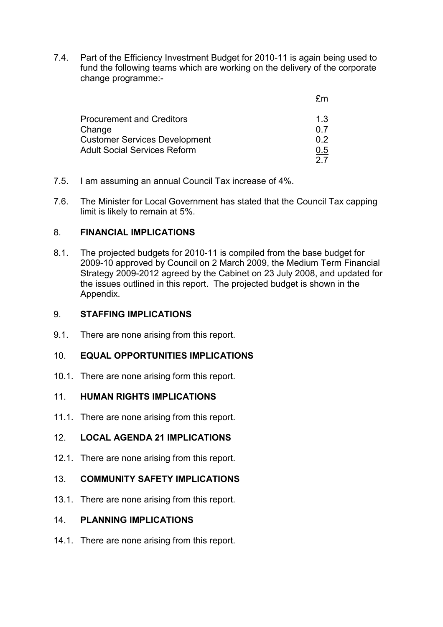7.4. Part of the Efficiency Investment Budget for 2010-11 is again being used to fund the following teams which are working on the delivery of the corporate change programme:-

| 1.3 |
|-----|
| 0.7 |
| በ 2 |
| U.5 |
|     |
|     |

- 7.5. I am assuming an annual Council Tax increase of 4%.
- 7.6. The Minister for Local Government has stated that the Council Tax capping limit is likely to remain at 5%.

### 8. FINANCIAL IMPLICATIONS

8.1. The projected budgets for 2010-11 is compiled from the base budget for 2009-10 approved by Council on 2 March 2009, the Medium Term Financial Strategy 2009-2012 agreed by the Cabinet on 23 July 2008, and updated for the issues outlined in this report. The projected budget is shown in the Appendix.

### 9. STAFFING IMPLICATIONS

9.1. There are none arising from this report.

# 10. FOUAL OPPORTUNITIES IMPLICATIONS

10.1. There are none arising form this report.

# 11. HUMAN RIGHTS IMPLICATIONS

11.1. There are none arising from this report.

# 12. LOCAL AGENDA 21 IMPLICATIONS

12.1. There are none arising from this report.

# 13. COMMUNITY SAFETY IMPLICATIONS

13.1. There are none arising from this report.

### 14. PLANNING IMPLICATIONS

14.1. There are none arising from this report.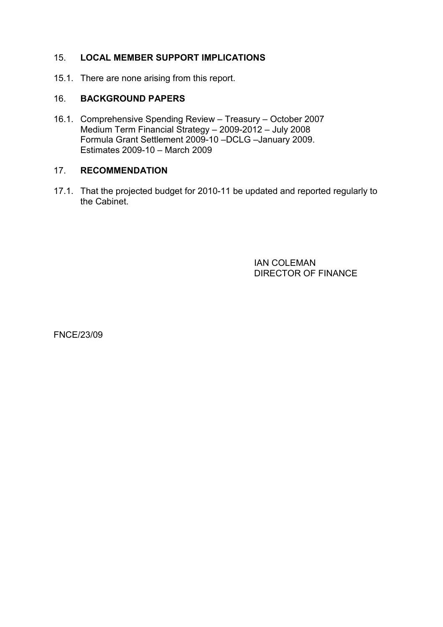# 15. LOCAL MEMBER SUPPORT IMPLICATIONS

15.1. There are none arising from this report.

#### 16. BACKGROUND PAPERS

16.1. Comprehensive Spending Review – Treasury – October 2007 Medium Term Financial Strategy – 2009-2012 – July 2008 Formula Grant Settlement 2009-10 –DCLG –January 2009. Estimates 2009-10 – March 2009

### 17. RECOMMENDATION

17.1. That the projected budget for 2010-11 be updated and reported regularly to the Cabinet.

> IAN COLEMAN DIRECTOR OF FINANCE

FNCE/23/09